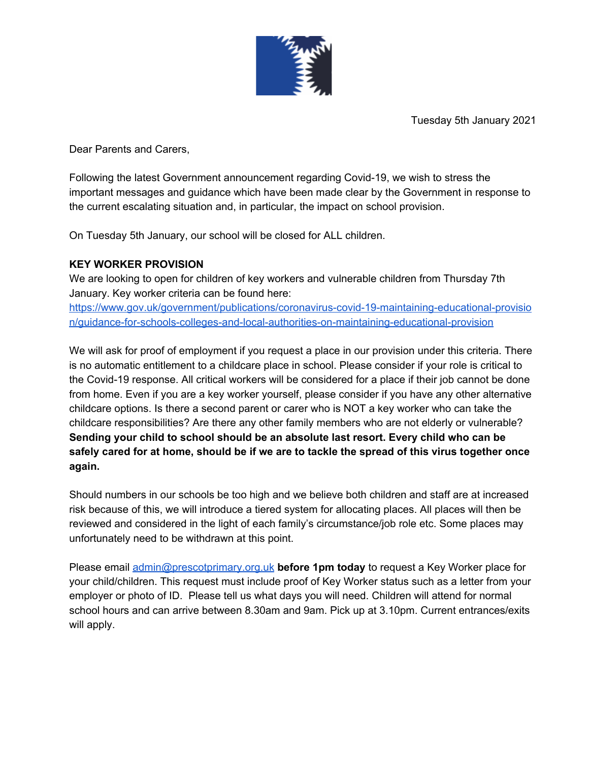

Tuesday 5th January 2021

Dear Parents and Carers,

Following the latest Government announcement regarding Covid-19, we wish to stress the important messages and guidance which have been made clear by the Government in response to the current escalating situation and, in particular, the impact on school provision.

On Tuesday 5th January, our school will be closed for ALL children.

## **KEY WORKER PROVISION**

We are looking to open for children of key workers and vulnerable children from Thursday 7th January. Key worker criteria can be found here:

[https://www.gov.uk/government/publications/coronavirus-covid-19-maintaining-educational-provisio](https://www.gov.uk/government/publications/coronavirus-covid-19-maintaining-educational-provision/guidance-for-schools-colleges-and-local-authorities-on-maintaining-educational-provision) [n/guidance-for-schools-colleges-and-local-authorities-on-maintaining-educational-provision](https://www.gov.uk/government/publications/coronavirus-covid-19-maintaining-educational-provision/guidance-for-schools-colleges-and-local-authorities-on-maintaining-educational-provision)

We will ask for proof of employment if you request a place in our provision under this criteria. There is no automatic entitlement to a childcare place in school. Please consider if your role is critical to the Covid-19 response. All critical workers will be considered for a place if their job cannot be done from home. Even if you are a key worker yourself, please consider if you have any other alternative childcare options. Is there a second parent or carer who is NOT a key worker who can take the childcare responsibilities? Are there any other family members who are not elderly or vulnerable? **Sending your child to school should be an absolute last resort. Every child who can be** safely cared for at home, should be if we are to tackle the spread of this virus together once **again.**

Should numbers in our schools be too high and we believe both children and staff are at increased risk because of this, we will introduce a tiered system for allocating places. All places will then be reviewed and considered in the light of each family's circumstance/job role etc. Some places may unfortunately need to be withdrawn at this point.

Please email [admin@prescotprimary.org.uk](mailto:admin@prescotprimary.org.uk) **before 1pm today** to request a Key Worker place for your child/children. This request must include proof of Key Worker status such as a letter from your employer or photo of ID. Please tell us what days you will need. Children will attend for normal school hours and can arrive between 8.30am and 9am. Pick up at 3.10pm. Current entrances/exits will apply.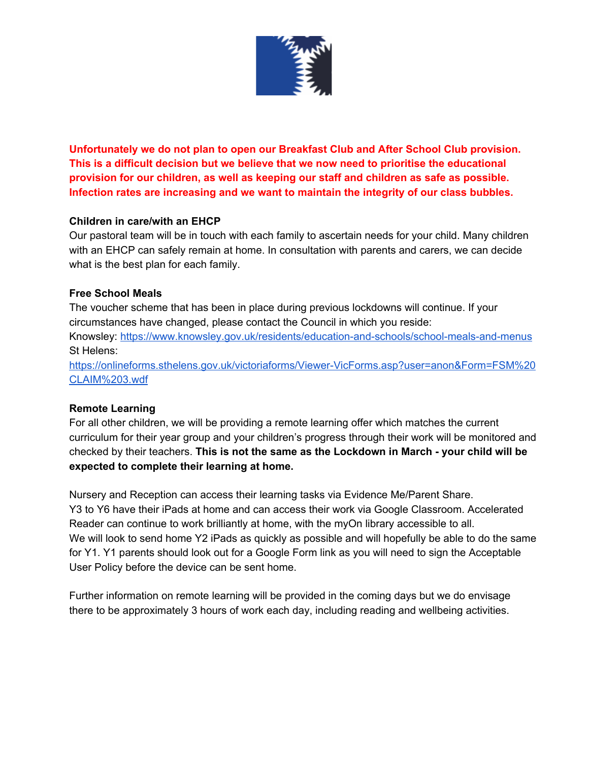

**Unfortunately we do not plan to open our Breakfast Club and After School Club provision. This is a difficult decision but we believe that we now need to prioritise the educational provision for our children, as well as keeping our staff and children as safe as possible. Infection rates are increasing and we want to maintain the integrity of our class bubbles.**

## **Children in care/with an EHCP**

Our pastoral team will be in touch with each family to ascertain needs for your child. Many children with an EHCP can safely remain at home. In consultation with parents and carers, we can decide what is the best plan for each family.

## **Free School Meals**

The voucher scheme that has been in place during previous lockdowns will continue. If your circumstances have changed, please contact the Council in which you reside:

Knowsley: <https://www.knowsley.gov.uk/residents/education-and-schools/school-meals-and-menus> St Helens:

[https://onlineforms.sthelens.gov.uk/victoriaforms/Viewer-VicForms.asp?user=anon&Form=FSM%20](https://onlineforms.sthelens.gov.uk/victoriaforms/Viewer-VicForms.asp?user=anon&Form=FSM%20CLAIM%203.wdf) [CLAIM%203.wdf](https://onlineforms.sthelens.gov.uk/victoriaforms/Viewer-VicForms.asp?user=anon&Form=FSM%20CLAIM%203.wdf)

## **Remote Learning**

For all other children, we will be providing a remote learning offer which matches the current curriculum for their year group and your children's progress through their work will be monitored and checked by their teachers. **This is not the same as the Lockdown in March - your child will be expected to complete their learning at home.**

Nursery and Reception can access their learning tasks via Evidence Me/Parent Share. Y3 to Y6 have their iPads at home and can access their work via Google Classroom. Accelerated Reader can continue to work brilliantly at home, with the myOn library accessible to all. We will look to send home Y2 iPads as quickly as possible and will hopefully be able to do the same for Y1. Y1 parents should look out for a Google Form link as you will need to sign the Acceptable User Policy before the device can be sent home.

Further information on remote learning will be provided in the coming days but we do envisage there to be approximately 3 hours of work each day, including reading and wellbeing activities.